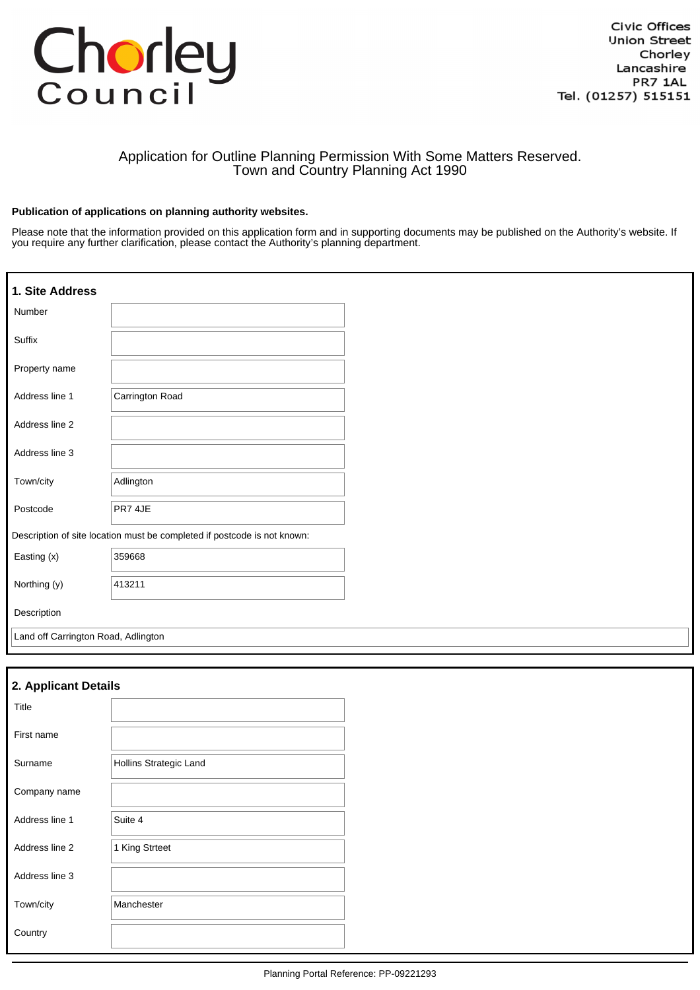# Chorley

# Application for Outline Planning Permission With Some Matters Reserved. Town and Country Planning Act 1990

## **Publication of applications on planning authority websites.**

Please note that the information provided on this application form and in supporting documents may be published on the Authority's website. If you require any further clarification, please contact the Authority's planning department.

| 1. Site Address                     |                                                                          |  |
|-------------------------------------|--------------------------------------------------------------------------|--|
| Number                              |                                                                          |  |
| Suffix                              |                                                                          |  |
| Property name                       |                                                                          |  |
| Address line 1                      | Carrington Road                                                          |  |
| Address line 2                      |                                                                          |  |
| Address line 3                      |                                                                          |  |
| Town/city                           | Adlington                                                                |  |
| Postcode                            | PR7 4JE                                                                  |  |
|                                     | Description of site location must be completed if postcode is not known: |  |
| Easting (x)                         | 359668                                                                   |  |
| Northing (y)                        | 413211                                                                   |  |
| Description                         |                                                                          |  |
| Land off Carrington Road, Adlington |                                                                          |  |

| 2. Applicant Details |                               |  |  |  |
|----------------------|-------------------------------|--|--|--|
| Title                |                               |  |  |  |
| First name           |                               |  |  |  |
| Surname              | <b>Hollins Strategic Land</b> |  |  |  |
| Company name         |                               |  |  |  |
| Address line 1       | Suite 4                       |  |  |  |
| Address line 2       | 1 King Strteet                |  |  |  |
| Address line 3       |                               |  |  |  |
| Town/city            | Manchester                    |  |  |  |
| Country              |                               |  |  |  |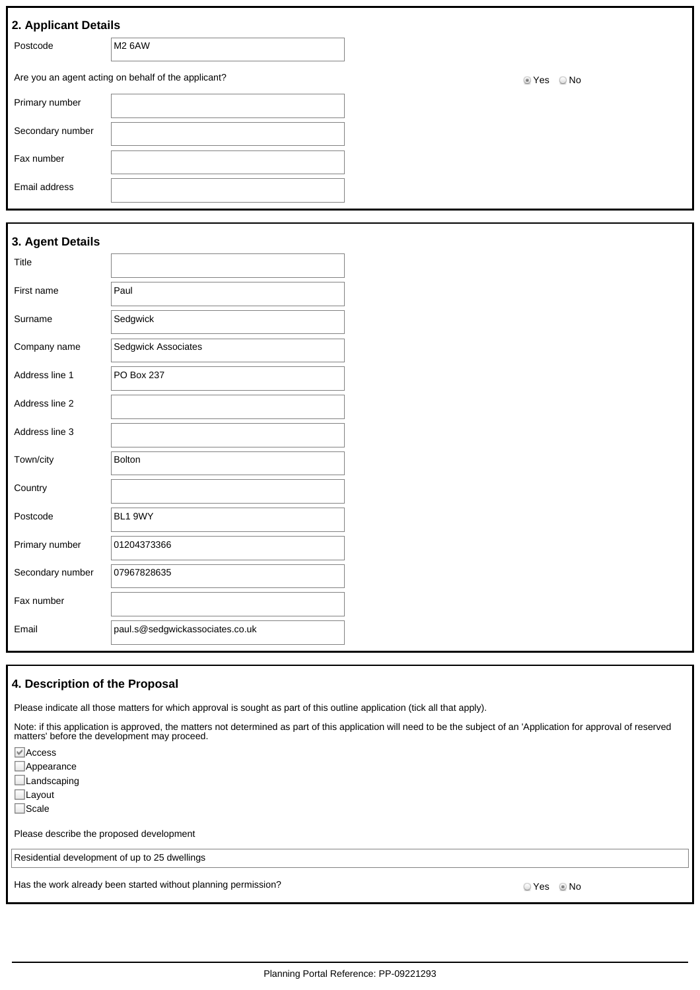| 2. Applicant Details |                                                     |       |               |
|----------------------|-----------------------------------------------------|-------|---------------|
| Postcode             | M2 6AW                                              |       |               |
|                      | Are you an agent acting on behalf of the applicant? | t Yes | $\bigcirc$ No |
| Primary number       |                                                     |       |               |
| Secondary number     |                                                     |       |               |
| Fax number           |                                                     |       |               |
| Email address        |                                                     |       |               |

| 3. Agent Details |                                 |  |
|------------------|---------------------------------|--|
| Title            |                                 |  |
| First name       | Paul                            |  |
| Surname          | Sedgwick                        |  |
| Company name     | Sedgwick Associates             |  |
| Address line 1   | PO Box 237                      |  |
| Address line 2   |                                 |  |
| Address line 3   |                                 |  |
| Town/city        | Bolton                          |  |
| Country          |                                 |  |
| Postcode         | BL1 9WY                         |  |
| Primary number   | 01204373366                     |  |
| Secondary number | 07967828635                     |  |
| Fax number       |                                 |  |
| Email            | paul.s@sedgwickassociates.co.uk |  |

# **4. Description of the Proposal**

Please indicate all those matters for which approval is sought as part of this outline application (tick all that apply).

Note: if this application is approved, the matters not determined as part of this application will need to be the subject of an 'Application for approval of reserved matters' before the development may proceed.

| $\blacksquare$ Access                                          |              |
|----------------------------------------------------------------|--------------|
| Appearance                                                     |              |
| Landscaping                                                    |              |
| $\Box$ Layout                                                  |              |
| Scale                                                          |              |
| Please describe the proposed development                       |              |
| Residential development of up to 25 dwellings                  |              |
| Has the work already been started without planning permission? | OYes . Io No |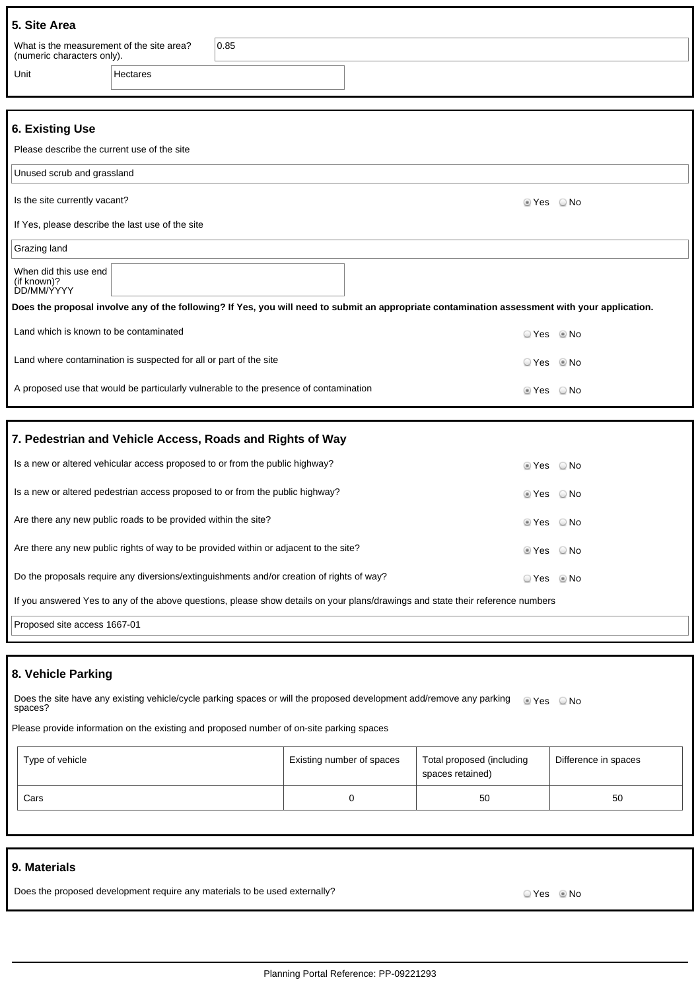| 5. Site Area                                                            |          |      |  |  |
|-------------------------------------------------------------------------|----------|------|--|--|
| What is the measurement of the site area?<br>(numeric characters only). |          | 0.85 |  |  |
| Unit                                                                    | Hectares |      |  |  |

# **6. Existing Use**

| v. Laisung Us <del>c</del>                                                                                                                     |            |               |  |  |  |
|------------------------------------------------------------------------------------------------------------------------------------------------|------------|---------------|--|--|--|
| Please describe the current use of the site                                                                                                    |            |               |  |  |  |
| Unused scrub and grassland                                                                                                                     |            |               |  |  |  |
| Is the site currently vacant?                                                                                                                  | t Yes      | ○ No          |  |  |  |
| If Yes, please describe the last use of the site                                                                                               |            |               |  |  |  |
| Grazing land                                                                                                                                   |            |               |  |  |  |
| When did this use end<br>(if known)?<br>DD/MM/YYYY                                                                                             |            |               |  |  |  |
| Does the proposal involve any of the following? If Yes, you will need to submit an appropriate contamination assessment with your application. |            |               |  |  |  |
| Land which is known to be contaminated                                                                                                         | ⊙Yes ®No   |               |  |  |  |
| Land where contamination is suspected for all or part of the site                                                                              | ○ Yes ◎ No |               |  |  |  |
| A proposed use that would be particularly vulnerable to the presence of contamination                                                          | t Yes      | ○ No          |  |  |  |
|                                                                                                                                                |            |               |  |  |  |
| 7. Pedestrian and Vehicle Access, Roads and Rights of Way                                                                                      |            |               |  |  |  |
| Is a new or altered vehicular access proposed to or from the public highway?                                                                   | ◉ Yes      | ○ No          |  |  |  |
| Is a new or altered pedestrian access proposed to or from the public highway?                                                                  | ties ⊘     | $\bigcirc$ No |  |  |  |
| Are there any new public roads to be provided within the site?                                                                                 | ■ Yes ■ No |               |  |  |  |

| Are there any new public rights of way to be provided within or adjacent to the site?                                           | ⊚ Yes      | ⊙ No |
|---------------------------------------------------------------------------------------------------------------------------------|------------|------|
| Do the proposals require any diversions/extinguishments and/or creation of rights of way?                                       | ⊙ Yes ◎ No |      |
| If you answered Yes to any of the above questions, please show details on your plans/drawings and state their reference numbers |            |      |

Proposed site access 1667-01

# **8. Vehicle Parking**

Does the site have any existing vehicle/cycle parking spaces or will the proposed development add/remove any parking @ Yes @ No spaces?

Please provide information on the existing and proposed number of on-site parking spaces

| Type of vehicle | Existing number of spaces | Total proposed (including<br>spaces retained) | Difference in spaces |
|-----------------|---------------------------|-----------------------------------------------|----------------------|
| Cars            |                           | 50                                            | 50                   |

### **9. Materials**

Does the proposed development require any materials to be used externally? Does the proposed of Yes No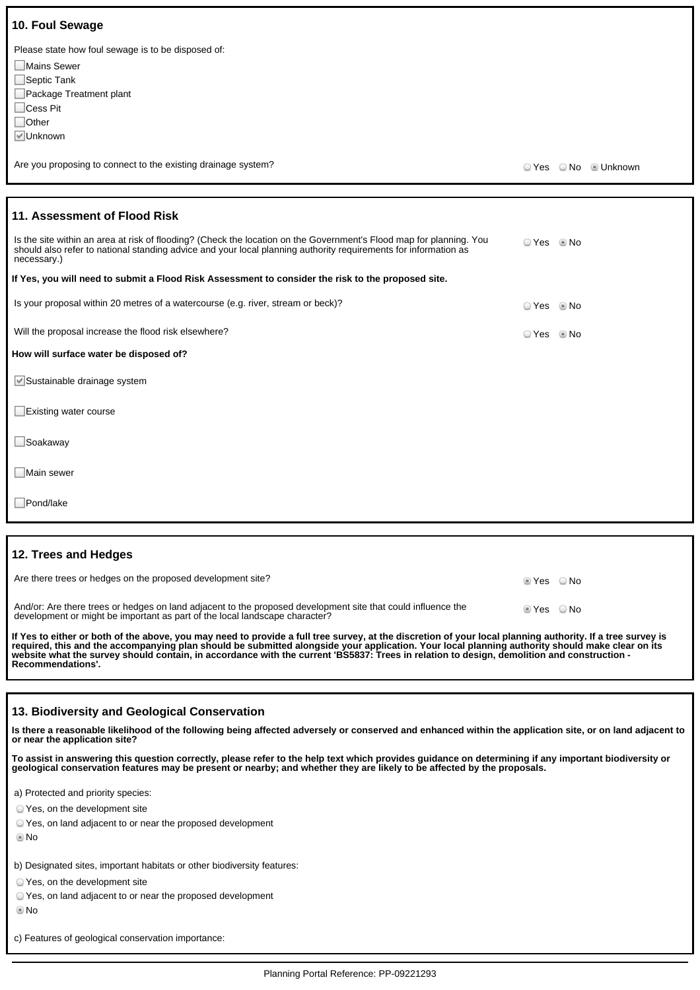| 10. Foul Sewage                                                                                                                                                                                                                                       |            |                      |
|-------------------------------------------------------------------------------------------------------------------------------------------------------------------------------------------------------------------------------------------------------|------------|----------------------|
| Please state how foul sewage is to be disposed of:<br>Mains Sewer<br>$\Box$ Septic Tank<br>Package Treatment plant<br>$\Box$ Cess Pit<br>$\Box$ Other<br><b>▽</b> Unknown                                                                             |            |                      |
| Are you proposing to connect to the existing drainage system?                                                                                                                                                                                         |            | ○ Yes ○ No ● Unknown |
|                                                                                                                                                                                                                                                       |            |                      |
| 11. Assessment of Flood Risk                                                                                                                                                                                                                          |            |                      |
| Is the site within an area at risk of flooding? (Check the location on the Government's Flood map for planning. You<br>should also refer to national standing advice and your local planning authority requirements for information as<br>necessary.) | ⊙ Yes © No |                      |
| If Yes, you will need to submit a Flood Risk Assessment to consider the risk to the proposed site.                                                                                                                                                    |            |                      |
| Is your proposal within 20 metres of a watercourse (e.g. river, stream or beck)?                                                                                                                                                                      | ○ Yes      | $@$ No               |
| Will the proposal increase the flood risk elsewhere?                                                                                                                                                                                                  | ○ Yes ◎ No |                      |
| How will surface water be disposed of?                                                                                                                                                                                                                |            |                      |
| Sustainable drainage system                                                                                                                                                                                                                           |            |                      |
| Existing water course                                                                                                                                                                                                                                 |            |                      |
| $\Box$ Soakaway                                                                                                                                                                                                                                       |            |                      |
| $\square$ Main sewer                                                                                                                                                                                                                                  |            |                      |
| □Pond/lake                                                                                                                                                                                                                                            |            |                      |

## **12. Trees and Hedges**

| And/or: Are there trees or hedges on land adjacent to the proposed development site that could influence the<br>$\circ$ Yes $\circ$ No<br>development or might be important as part of the local landscape character? | Are there trees or hedges on the proposed development site? | tes ONo |  |
|-----------------------------------------------------------------------------------------------------------------------------------------------------------------------------------------------------------------------|-------------------------------------------------------------|---------|--|
|                                                                                                                                                                                                                       |                                                             |         |  |

**If Yes to either or both of the above, you may need to provide a full tree survey, at the discretion of your local planning authority. If a tree survey is required, this and the accompanying plan should be submitted alongside your application. Your local planning authority should make clear on its website what the survey should contain, in accordance with the current 'BS5837: Trees in relation to design, demolition and construction - Recommendations'.**

### **13. Biodiversity and Geological Conservation**

**Is there a reasonable likelihood of the following being affected adversely or conserved and enhanced within the application site, or on land adjacent to or near the application site?**

**To assist in answering this question correctly, please refer to the help text which provides guidance on determining if any important biodiversity or geological conservation features may be present or nearby; and whether they are likely to be affected by the proposals.**

a) Protected and priority species:

Yes, on the development site

Yes, on land adjacent to or near the proposed development

No

b) Designated sites, important habitats or other biodiversity features:

Yes, on the development site

Yes, on land adjacent to or near the proposed development

No

c) Features of geological conservation importance: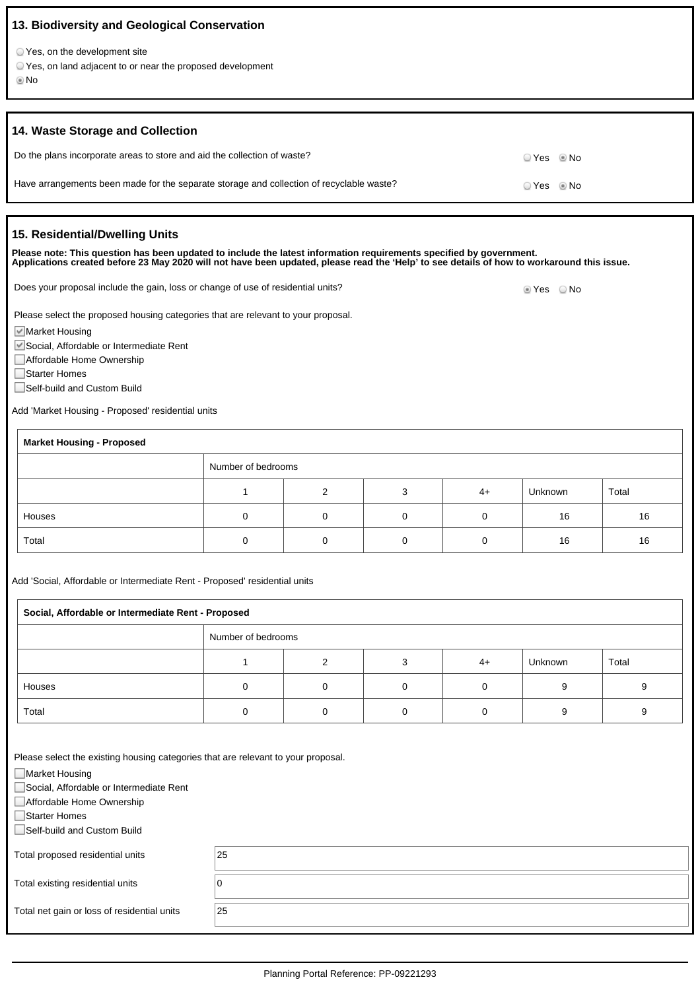| 13. Biodiversity and Geological Conservation                                                                                                                                                                                                                      |            |
|-------------------------------------------------------------------------------------------------------------------------------------------------------------------------------------------------------------------------------------------------------------------|------------|
| ○ Yes, on the development site<br>○ Yes, on land adjacent to or near the proposed development<br>© No                                                                                                                                                             |            |
| 14. Waste Storage and Collection                                                                                                                                                                                                                                  |            |
| Do the plans incorporate areas to store and aid the collection of waste?                                                                                                                                                                                          | ⊙ Yes ⊚ No |
| Have arrangements been made for the separate storage and collection of recyclable waste?                                                                                                                                                                          | ⊙ Yes ◎ No |
| 15. Residential/Dwelling Units                                                                                                                                                                                                                                    |            |
| Please note: This question has been updated to include the latest information requirements specified by government.<br>Applications created before 23 May 2020 will not have been updated, please read the 'Help' to see details of how to workaround this issue. |            |
| Does your proposal include the gain, loss or change of use of residential units?                                                                                                                                                                                  | ■ Yes   No |

Please select the proposed housing categories that are relevant to your proposal.

■Market Housing

Social, Affordable or Intermediate Rent

■ Affordable Home Ownership

□Starter Homes

Self-build and Custom Build

Add 'Market Housing - Proposed' residential units

| <b>Market Housing - Proposed</b> |                    |   |  |      |         |       |
|----------------------------------|--------------------|---|--|------|---------|-------|
|                                  | Number of bedrooms |   |  |      |         |       |
|                                  |                    | ◠ |  | $4+$ | Unknown | Total |
| Houses                           |                    | 0 |  |      | 16      | 16    |
| Total                            |                    |   |  |      | 16      | 16    |

Add 'Social, Affordable or Intermediate Rent - Proposed' residential units

| Social, Affordable or Intermediate Rent - Proposed |                    |   |  |      |         |       |
|----------------------------------------------------|--------------------|---|--|------|---------|-------|
|                                                    | Number of bedrooms |   |  |      |         |       |
|                                                    |                    | ◠ |  | $4+$ | Unknown | Total |
| Houses                                             |                    |   |  |      |         |       |
| Total                                              |                    |   |  |      |         |       |

Please select the existing housing categories that are relevant to your proposal.

| Market Housing                              |    |  |
|---------------------------------------------|----|--|
| Social, Affordable or Intermediate Rent     |    |  |
| Affordable Home Ownership                   |    |  |
| □Starter Homes                              |    |  |
| Self-build and Custom Build                 |    |  |
|                                             |    |  |
| Total proposed residential units            | 25 |  |
|                                             |    |  |
| Total existing residential units            |    |  |
|                                             |    |  |
| Total net gain or loss of residential units | 25 |  |
|                                             |    |  |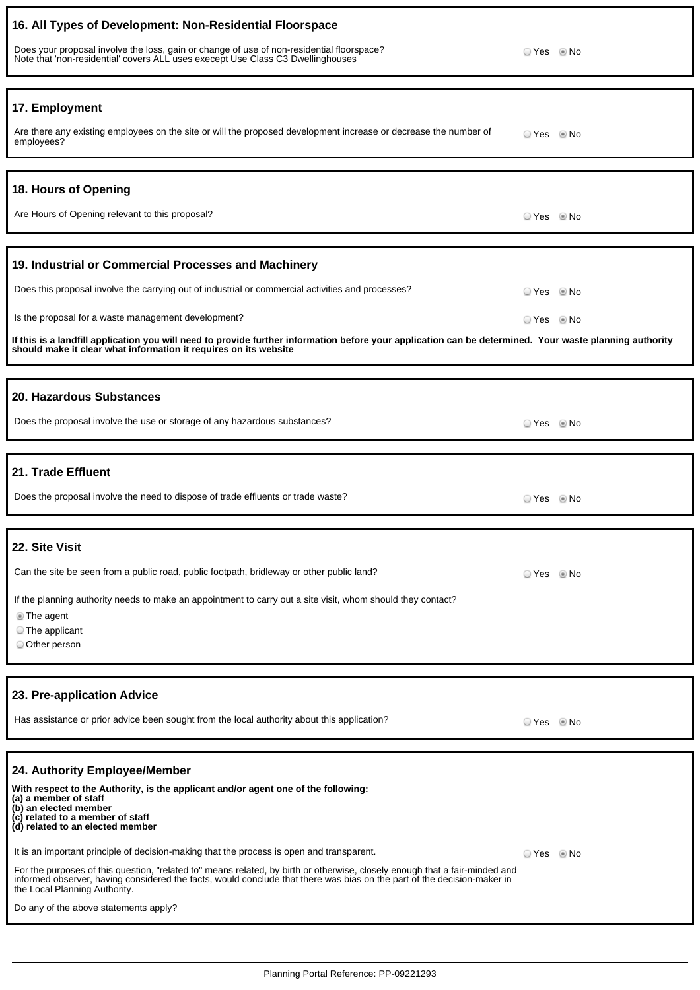| 16. All Types of Development: Non-Residential Floorspace<br>Does your proposal involve the loss, gain or change of use of non-residential floorspace?<br>Note that 'non-residential' covers ALL uses execept Use Class C3 Dwellinghouses                                                                                                                                                                                                                                                                                                                                                                                                                                       | ⊙ Yes © No               |  |
|--------------------------------------------------------------------------------------------------------------------------------------------------------------------------------------------------------------------------------------------------------------------------------------------------------------------------------------------------------------------------------------------------------------------------------------------------------------------------------------------------------------------------------------------------------------------------------------------------------------------------------------------------------------------------------|--------------------------|--|
| 17. Employment<br>Are there any existing employees on the site or will the proposed development increase or decrease the number of<br>employees?                                                                                                                                                                                                                                                                                                                                                                                                                                                                                                                               | ⊙ Yes © No               |  |
| 18. Hours of Opening<br>Are Hours of Opening relevant to this proposal?                                                                                                                                                                                                                                                                                                                                                                                                                                                                                                                                                                                                        | OYes . Io No             |  |
| 19. Industrial or Commercial Processes and Machinery<br>Does this proposal involve the carrying out of industrial or commercial activities and processes?<br>Is the proposal for a waste management development?<br>If this is a landfill application you will need to provide further information before your application can be determined. Your waste planning authority<br>should make it clear what information it requires on its website                                                                                                                                                                                                                                | ○ Yes ◎ No<br>○ Yes ◎ No |  |
| 20. Hazardous Substances<br>Does the proposal involve the use or storage of any hazardous substances?                                                                                                                                                                                                                                                                                                                                                                                                                                                                                                                                                                          | O Yes     ® No           |  |
| 21. Trade Effluent<br>Does the proposal involve the need to dispose of trade effluents or trade waste?                                                                                                                                                                                                                                                                                                                                                                                                                                                                                                                                                                         | © Yes ◎ No               |  |
| 22. Site Visit<br>Can the site be seen from a public road, public footpath, bridleway or other public land?<br>If the planning authority needs to make an appointment to carry out a site visit, whom should they contact?<br><b>The agent</b><br>◯ The applicant<br>O Other person                                                                                                                                                                                                                                                                                                                                                                                            | ○ Yes ◎ No               |  |
| 23. Pre-application Advice<br>Has assistance or prior advice been sought from the local authority about this application?                                                                                                                                                                                                                                                                                                                                                                                                                                                                                                                                                      | O Yes . I No             |  |
| 24. Authority Employee/Member<br>With respect to the Authority, is the applicant and/or agent one of the following:<br>(a) a member of staff<br>(b) an elected member<br>(c) related to a member of staff<br>(d) related to an elected member<br>It is an important principle of decision-making that the process is open and transparent.<br>For the purposes of this question, "related to" means related, by birth or otherwise, closely enough that a fair-minded and<br>informed observer, having considered the facts, would conclude that there was bias on the part of the decision-maker in<br>the Local Planning Authority.<br>Do any of the above statements apply? | © Yes ◎ No               |  |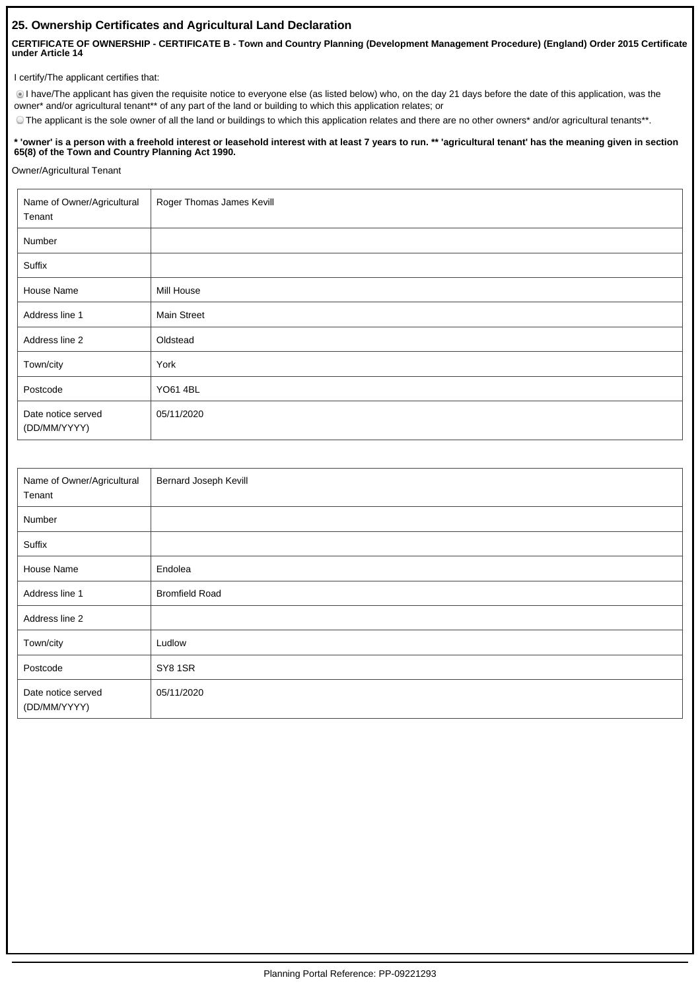# **25. Ownership Certificates and Agricultural Land Declaration**

**CERTIFICATE OF OWNERSHIP - CERTIFICATE B - Town and Country Planning (Development Management Procedure) (England) Order 2015 Certificate under Article 14**

I certify/The applicant certifies that:

I have/The applicant has given the requisite notice to everyone else (as listed below) who, on the day 21 days before the date of this application, was the owner\* and/or agricultural tenant\*\* of any part of the land or building to which this application relates; or

The applicant is the sole owner of all the land or buildings to which this application relates and there are no other owners\* and/or agricultural tenants\*\*.

### **\* 'owner' is a person with a freehold interest or leasehold interest with at least 7 years to run. \*\* 'agricultural tenant' has the meaning given in section 65(8) of the Town and Country Planning Act 1990.**

Owner/Agricultural Tenant

| Name of Owner/Agricultural<br>Tenant | Roger Thomas James Kevill |
|--------------------------------------|---------------------------|
| Number                               |                           |
| Suffix                               |                           |
| House Name                           | Mill House                |
| Address line 1                       | <b>Main Street</b>        |
| Address line 2                       | Oldstead                  |
| Town/city                            | York                      |
| Postcode                             | <b>YO61 4BL</b>           |
| Date notice served<br>(DD/MM/YYYY)   | 05/11/2020                |

| Name of Owner/Agricultural<br>Tenant | Bernard Joseph Kevill |
|--------------------------------------|-----------------------|
| Number                               |                       |
| Suffix                               |                       |
| House Name                           | Endolea               |
| Address line 1                       | <b>Bromfield Road</b> |
| Address line 2                       |                       |
| Town/city                            | Ludlow                |
| Postcode                             | SY8 1SR               |
| Date notice served<br>(DD/MM/YYYY)   | 05/11/2020            |